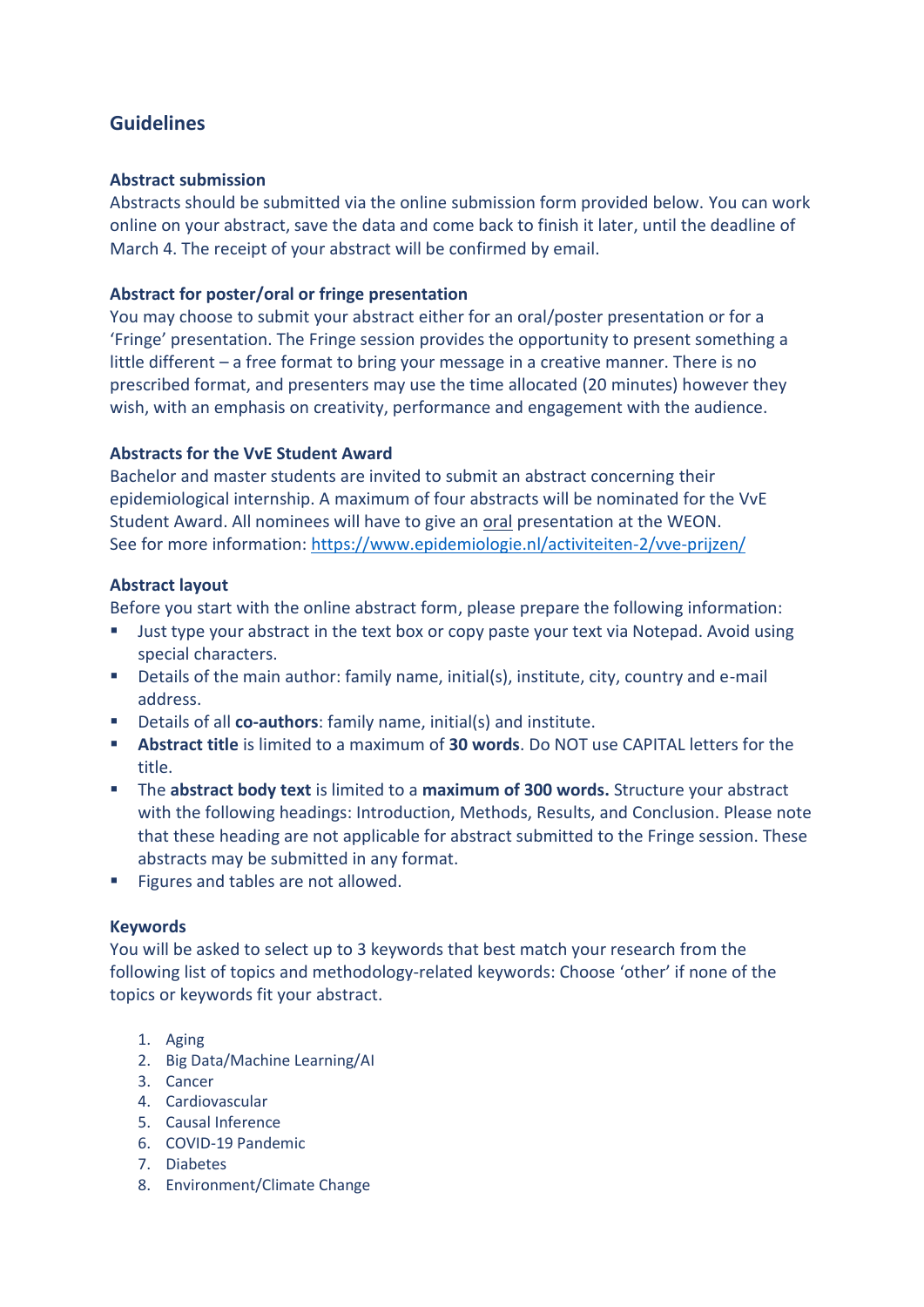# **Guidelines**

## **Abstract submission**

Abstracts should be submitted via the online submission form provided below. You can work online on your abstract, save the data and come back to finish it later, until the deadline of March 4. The receipt of your abstract will be confirmed by email.

# **Abstract for poster/oral or fringe presentation**

You may choose to submit your abstract either for an oral/poster presentation or for a 'Fringe' presentation. The Fringe session provides the opportunity to present something a little different – a free format to bring your message in a creative manner. There is no prescribed format, and presenters may use the time allocated (20 minutes) however they wish, with an emphasis on creativity, performance and engagement with the audience.

# **Abstracts for the VvE Student Award**

Bachelor and master students are invited to submit an abstract concerning their epidemiological internship. A maximum of four abstracts will be nominated for the VvE Student Award. All nominees will have to give an oral presentation at the WEON. See for more information:<https://www.epidemiologie.nl/activiteiten-2/vve-prijzen/>

# **Abstract layout**

Before you start with the online abstract form, please prepare the following information:

- Just type your abstract in the text box or copy paste your text via Notepad. Avoid using special characters.
- Details of the main author: family name, initial(s), institute, city, country and e-mail address.
- Details of all **co-authors**: family name, initial(s) and institute.
- **Abstract title** is limited to a maximum of **30 words**. Do NOT use CAPITAL letters for the title.
- The **abstract body text** is limited to a **maximum of 300 words.** Structure your abstract with the following headings: Introduction, Methods, Results, and Conclusion. Please note that these heading are not applicable for abstract submitted to the Fringe session. These abstracts may be submitted in any format.
- Figures and tables are not allowed.

## **Keywords**

You will be asked to select up to 3 keywords that best match your research from the following list of topics and methodology-related keywords: Choose 'other' if none of the topics or keywords fit your abstract.

## 1. Aging

- 2. Big Data/Machine Learning/AI
- 3. Cancer
- 4. Cardiovascular
- 5. Causal Inference
- 6. COVID-19 Pandemic
- 7. Diabetes
- 8. Environment/Climate Change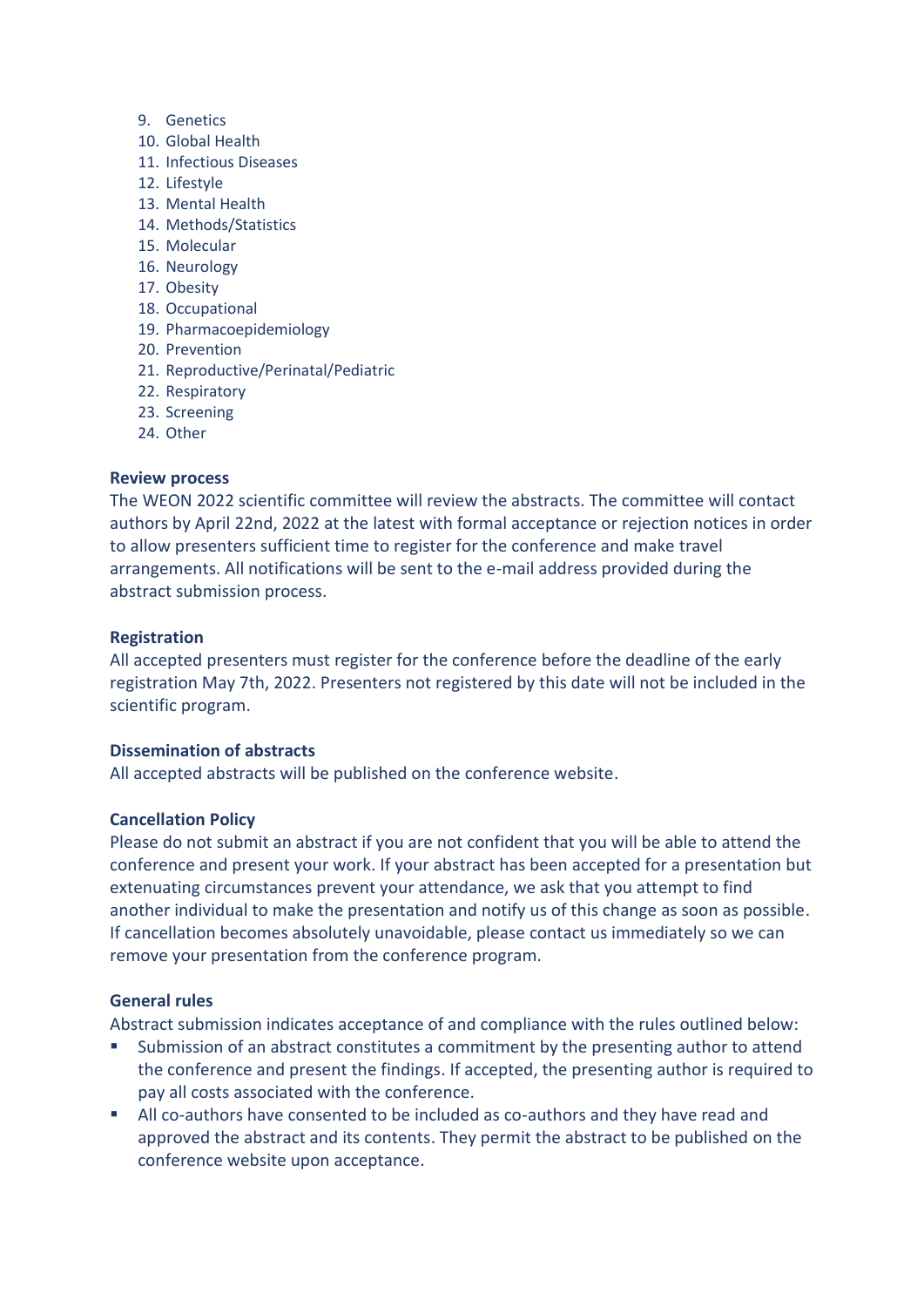- 9. Genetics
- 10. Global Health
- 11. Infectious Diseases
- 12. Lifestyle
- 13. Mental Health
- 14. Methods/Statistics
- 15. Molecular
- 16. Neurology
- 17. Obesity
- 18. Occupational
- 19. Pharmacoepidemiology
- 20. Prevention
- 21. Reproductive/Perinatal/Pediatric
- 22. Respiratory
- 23. Screening
- 24. Other

#### **Review process**

The WEON 2022 scientific committee will review the abstracts. The committee will contact authors by April 22nd, 2022 at the latest with formal acceptance or rejection notices in order to allow presenters sufficient time to register for the conference and make travel arrangements. All notifications will be sent to the e-mail address provided during the abstract submission process.

#### **Registration**

All accepted presenters must register for the conference before the deadline of the early registration May 7th, 2022. Presenters not registered by this date will not be included in the scientific program.

#### **Dissemination of abstracts**

All accepted abstracts will be published on the conference website.

## **Cancellation Policy**

Please do not submit an abstract if you are not confident that you will be able to attend the conference and present your work. If your abstract has been accepted for a presentation but extenuating circumstances prevent your attendance, we ask that you attempt to find another individual to make the presentation and notify us of this change as soon as possible. If cancellation becomes absolutely unavoidable, please contact us immediately so we can remove your presentation from the conference program.

## **General rules**

Abstract submission indicates acceptance of and compliance with the rules outlined below:

- Submission of an abstract constitutes a commitment by the presenting author to attend the conference and present the findings. If accepted, the presenting author is required to pay all costs associated with the conference.
- All co-authors have consented to be included as co-authors and they have read and approved the abstract and its contents. They permit the abstract to be published on the conference website upon acceptance.